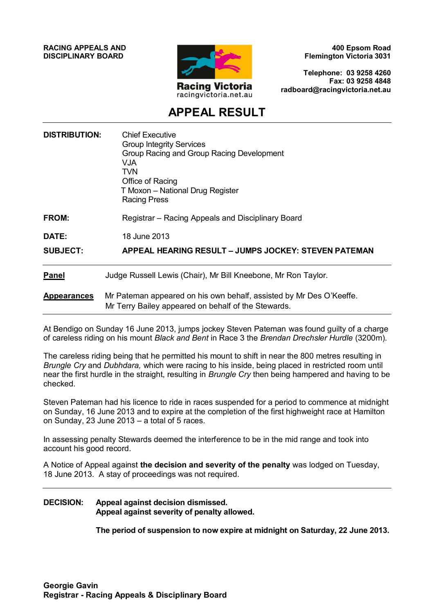**RACING APPEALS AND DISCIPLINARY BOARD**



**400 Epsom Road Flemington Victoria 3031**

**Telephone: 03 9258 4260 Fax: 03 9258 4848 radboard@racingvictoria.net.au**

# **APPEAL RESULT**

| <b>DISTRIBUTION:</b> | <b>Chief Executive</b><br><b>Group Integrity Services</b><br>Group Racing and Group Racing Development<br><b>VJA</b><br><b>TVN</b><br>Office of Racing<br>T Moxon - National Drug Register<br><b>Racing Press</b> |
|----------------------|-------------------------------------------------------------------------------------------------------------------------------------------------------------------------------------------------------------------|
| FROM:                | Registrar - Racing Appeals and Disciplinary Board                                                                                                                                                                 |
| DATE:                | 18 June 2013                                                                                                                                                                                                      |
| <b>SUBJECT:</b>      | <b>APPEAL HEARING RESULT - JUMPS JOCKEY: STEVEN PATEMAN</b>                                                                                                                                                       |
| <b>Panel</b>         | Judge Russell Lewis (Chair), Mr Bill Kneebone, Mr Ron Taylor.                                                                                                                                                     |
| <b>Appearances</b>   | Mr Pateman appeared on his own behalf, assisted by Mr Des O'Keeffe.<br>Mr Terry Bailey appeared on behalf of the Stewards.                                                                                        |

At Bendigo on Sunday 16 June 2013, jumps jockey Steven Pateman was found guilty of a charge of careless riding on his mount *Black and Bent* in Race 3 the *Brendan Drechsler Hurdle* (3200m).

The careless riding being that he permitted his mount to shift in near the 800 metres resulting in *Brungle Cry* and *Dubhdara,* which were racing to his inside, being placed in restricted room until near the first hurdle in the straight, resulting in *Brungle Cry* then being hampered and having to be checked.

Steven Pateman had his licence to ride in races suspended for a period to commence at midnight on Sunday, 16 June 2013 and to expire at the completion of the first highweight race at Hamilton on Sunday, 23 June 2013 – a total of 5 races.

In assessing penalty Stewards deemed the interference to be in the mid range and took into account his good record.

A Notice of Appeal against **the decision and severity of the penalty** was lodged on Tuesday, 18 June 2013. A stay of proceedings was not required.

#### **DECISION: Appeal against decision dismissed. Appeal against severity of penalty allowed.**

**The period of suspension to now expire at midnight on Saturday, 22 June 2013.**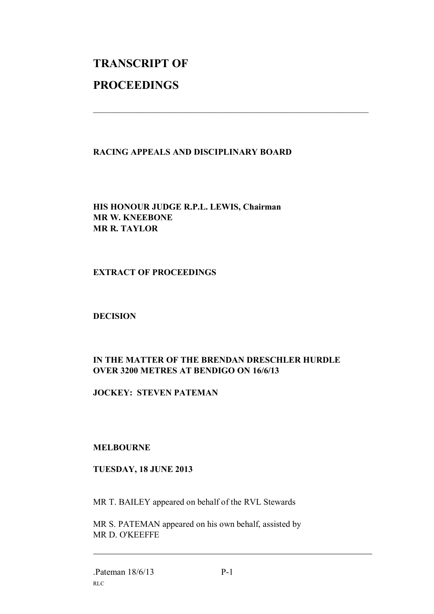# **TRANSCRIPT OF PROCEEDINGS**

## **RACING APPEALS AND DISCIPLINARY BOARD**

 $\mathcal{L}_\text{max}$  , and the contribution of the contribution of the contribution of the contribution of the contribution of the contribution of the contribution of the contribution of the contribution of the contribution of t

**HIS HONOUR JUDGE R.P.L. LEWIS, Chairman MR W. KNEEBONE MR R. TAYLOR**

#### **EXTRACT OF PROCEEDINGS**

#### **DECISION**

# **IN THE MATTER OF THE BRENDAN DRESCHLER HURDLE OVER 3200 METRES AT BENDIGO ON 16/6/13**

### **JOCKEY: STEVEN PATEMAN**

#### **MELBOURNE**

#### **TUESDAY, 18 JUNE 2013**

MR T. BAILEY appeared on behalf of the RVL Stewards

MR S. PATEMAN appeared on his own behalf, assisted by MR D. O'KEEFFE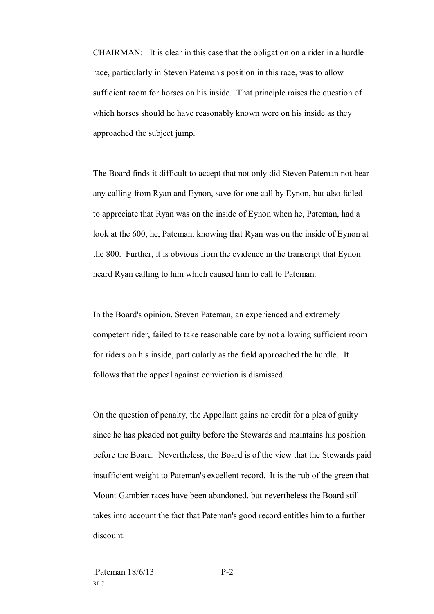CHAIRMAN: It is clear in this case that the obligation on a rider in a hurdle race, particularly in Steven Pateman's position in this race, was to allow sufficient room for horses on his inside. That principle raises the question of which horses should he have reasonably known were on his inside as they approached the subject jump.

The Board finds it difficult to accept that not only did Steven Pateman not hear any calling from Ryan and Eynon, save for one call by Eynon, but also failed to appreciate that Ryan was on the inside of Eynon when he, Pateman, had a look at the 600, he, Pateman, knowing that Ryan was on the inside of Eynon at the 800. Further, it is obvious from the evidence in the transcript that Eynon heard Ryan calling to him which caused him to call to Pateman.

In the Board's opinion, Steven Pateman, an experienced and extremely competent rider, failed to take reasonable care by not allowing sufficient room for riders on his inside, particularly as the field approached the hurdle. It follows that the appeal against conviction is dismissed.

On the question of penalty, the Appellant gains no credit for a plea of guilty since he has pleaded not guilty before the Stewards and maintains his position before the Board. Nevertheless, the Board is of the view that the Stewards paid insufficient weight to Pateman's excellent record. It is the rub of the green that Mount Gambier races have been abandoned, but nevertheless the Board still takes into account the fact that Pateman's good record entitles him to a further discount.